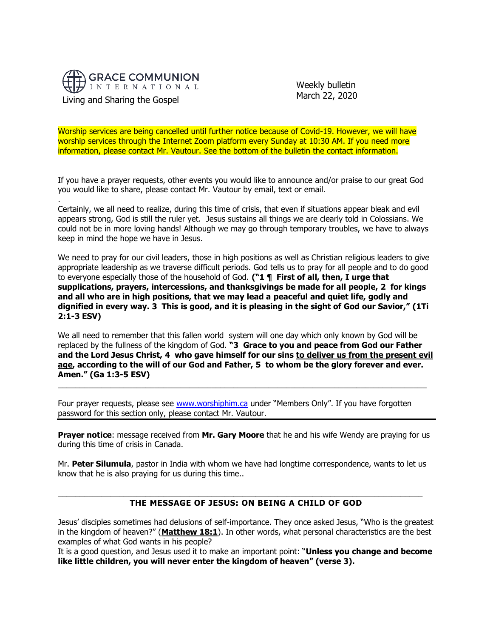

.

 Weekly bulletin March 22, 2020

Worship services are being cancelled until further notice because of Covid-19. However, we will have worship services through the Internet Zoom platform every Sunday at 10:30 AM. If you need more information, please contact Mr. Vautour. See the bottom of the bulletin the contact information.

If you have a prayer requests, other events you would like to announce and/or praise to our great God you would like to share, please contact Mr. Vautour by email, text or email.

Certainly, we all need to realize, during this time of crisis, that even if situations appear bleak and evil appears strong, God is still the ruler yet. Jesus sustains all things we are clearly told in Colossians. We could not be in more loving hands! Although we may go through temporary troubles, we have to always keep in mind the hope we have in Jesus.

We need to pray for our civil leaders, those in high positions as well as Christian religious leaders to give appropriate leadership as we traverse difficult periods. God tells us to pray for all people and to do good to everyone especially those of the household of God. **("1 ¶ First of all, then, I urge that supplications, prayers, intercessions, and thanksgivings be made for all people, 2 for kings and all who are in high positions, that we may lead a peaceful and quiet life, godly and dignified in every way. 3 This is good, and it is pleasing in the sight of God our Savior," (1Ti 2:1-3 ESV)**

We all need to remember that this fallen world system will one day which only known by God will be replaced by the fullness of the kingdom of God. **"3 Grace to you and peace from God our Father and the Lord Jesus Christ, 4 who gave himself for our sins to deliver us from the present evil age, according to the will of our God and Father, 5 to whom be the glory forever and ever. Amen." (Ga 1:3-5 ESV)**

\_\_\_\_\_\_\_\_\_\_\_\_\_\_\_\_\_\_\_\_\_\_\_\_\_\_\_\_\_\_\_\_\_\_\_\_\_\_\_\_\_\_\_\_\_\_\_\_\_\_\_\_\_\_\_\_\_\_\_\_\_\_\_\_\_\_\_\_\_\_\_\_\_\_\_\_\_\_\_\_\_\_\_\_

Four prayer requests, please see [www.worshiphim.ca](http://www.worshiphim.ca/) under "Members Only". If you have forgotten password for this section only, please contact Mr. Vautour.

**Prayer notice**: message received from **Mr. Gary Moore** that he and his wife Wendy are praying for us during this time of crisis in Canada.

Mr. **Peter Silumula**, pastor in India with whom we have had longtime correspondence, wants to let us know that he is also praying for us during this time..

 $\_$  ,  $\_$  ,  $\_$  ,  $\_$  ,  $\_$  ,  $\_$  ,  $\_$  ,  $\_$  ,  $\_$  ,  $\_$  ,  $\_$  ,  $\_$  ,  $\_$  ,  $\_$  ,  $\_$  ,  $\_$  ,  $\_$  ,  $\_$  ,  $\_$  ,  $\_$  ,  $\_$  ,  $\_$  ,  $\_$  ,  $\_$  ,  $\_$  ,  $\_$  ,  $\_$  ,  $\_$  ,  $\_$  ,  $\_$  ,  $\_$  ,  $\_$  ,  $\_$  ,  $\_$  ,  $\_$  ,  $\_$  ,  $\_$  ,

### **THE MESSAGE OF JESUS: ON BEING A CHILD OF GOD**

Jesus' disciples sometimes had delusions of self-importance. They once asked Jesus, "Who is the greatest in the kingdom of heaven?" (**[Matthew 18:1](https://biblia.com/bible/niv/Matt%2018.1)**). In other words, what personal characteristics are the best examples of what God wants in his people?

It is a good question, and Jesus used it to make an important point: "**Unless you change and become like little children, you will never enter the kingdom of heaven" (verse 3).**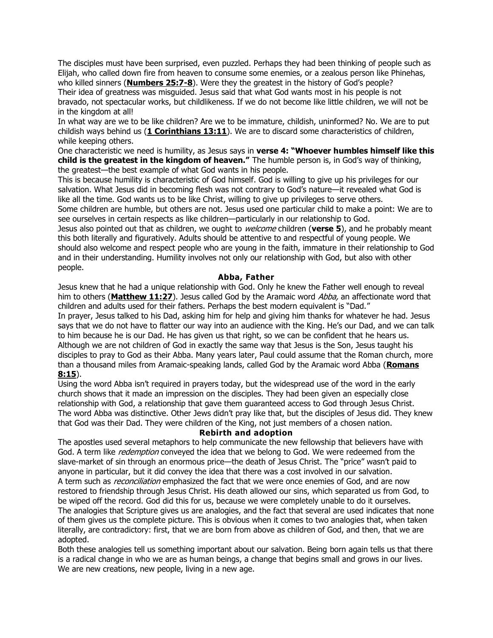The disciples must have been surprised, even puzzled. Perhaps they had been thinking of people such as Elijah, who called down fire from heaven to consume some enemies, or a zealous person like Phinehas, who killed sinners (**[Numbers 25:7-8](https://biblia.com/bible/niv/Num%2025.7-8)**). Were they the greatest in the history of God's people? Their idea of greatness was misguided. Jesus said that what God wants most in his people is not bravado, not spectacular works, but childlikeness. If we do not become like little children, we will not be in the kingdom at all!

In what way are we to be like children? Are we to be immature, childish, uninformed? No. We are to put childish ways behind us (**[1 Corinthians 13:11](https://biblia.com/bible/niv/1%20Cor%2013.11)**). We are to discard some characteristics of children, while keeping others.

One characteristic we need is humility, as Jesus says in **verse 4: "Whoever humbles himself like this child is the greatest in the kingdom of heaven."** The humble person is, in God's way of thinking, the greatest—the best example of what God wants in his people.

This is because humility is characteristic of God himself. God is willing to give up his privileges for our salvation. What Jesus did in becoming flesh was not contrary to God's nature—it revealed what God is like all the time. God wants us to be like Christ, willing to give up privileges to serve others.

Some children are humble, but others are not. Jesus used one particular child to make a point: We are to see ourselves in certain respects as like children—particularly in our relationship to God.

Jesus also pointed out that as children, we ought to welcome children (**verse 5**), and he probably meant this both literally and figuratively. Adults should be attentive to and respectful of young people. We should also welcome and respect people who are young in the faith, immature in their relationship to God and in their understanding. Humility involves not only our relationship with God, but also with other people.

### **Abba, Father**

Jesus knew that he had a unique relationship with God. Only he knew the Father well enough to reveal him to others ([Matthew 11:27](https://biblia.com/bible/niv/Matt%2011.27)). Jesus called God by the Aramaic word Abba, an affectionate word that children and adults used for their fathers. Perhaps the best modern equivalent is "Dad." In prayer, Jesus talked to his Dad, asking him for help and giving him thanks for whatever he had. Jesus says that we do not have to flatter our way into an audience with the King. He's our Dad, and we can talk to him because he is our Dad. He has given us that right, so we can be confident that he hears us. Although we are not children of God in exactly the same way that Jesus is the Son, Jesus taught his disciples to pray to God as their Abba. Many years later, Paul could assume that the Roman church, more than a thousand miles from Aramaic-speaking lands, called God by the Aramaic word Abba (**[Romans](https://biblia.com/bible/niv/Rom%208.15)  [8:15](https://biblia.com/bible/niv/Rom%208.15)**).

# Using the word Abba isn't required in prayers today, but the widespread use of the word in the early church shows that it made an impression on the disciples. They had been given an especially close relationship with God, a relationship that gave them guaranteed access to God through Jesus Christ. The word Abba was distinctive. Other Jews didn't pray like that, but the disciples of Jesus did. They knew that God was their Dad. They were children of the King, not just members of a chosen nation.

### **Rebirth and adoption**

The apostles used several metaphors to help communicate the new fellowship that believers have with God. A term like *redemption* conveyed the idea that we belong to God. We were redeemed from the slave-market of sin through an enormous price—the death of Jesus Christ. The "price" wasn't paid to anyone in particular, but it did convey the idea that there was a cost involved in our salvation. A term such as *reconciliation* emphasized the fact that we were once enemies of God, and are now restored to friendship through Jesus Christ. His death allowed our sins, which separated us from God, to be wiped off the record. God did this for us, because we were completely unable to do it ourselves. The analogies that Scripture gives us are analogies, and the fact that several are used indicates that none of them gives us the complete picture. This is obvious when it comes to two analogies that, when taken literally, are contradictory: first, that we are born from above as children of God, and then, that we are adopted.

Both these analogies tell us something important about our salvation. Being born again tells us that there is a radical change in who we are as human beings, a change that begins small and grows in our lives. We are new creations, new people, living in a new age.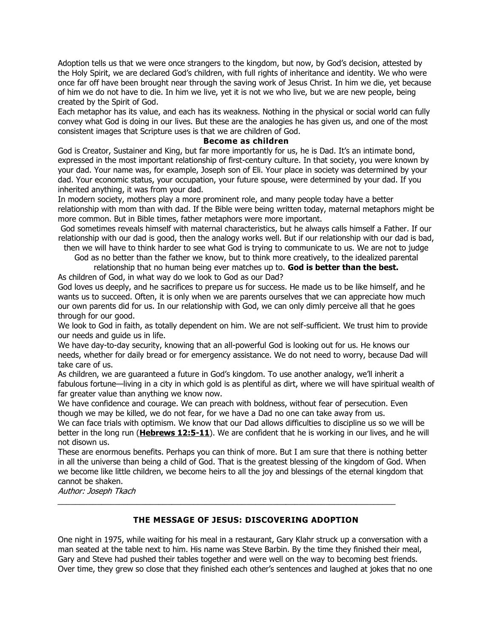Adoption tells us that we were once strangers to the kingdom, but now, by God's decision, attested by the Holy Spirit, we are declared God's children, with full rights of inheritance and identity. We who were once far off have been brought near through the saving work of Jesus Christ. In him we die, yet because of him we do not have to die. In him we live, yet it is not we who live, but we are new people, being created by the Spirit of God.

Each metaphor has its value, and each has its weakness. Nothing in the physical or social world can fully convey what God is doing in our lives. But these are the analogies he has given us, and one of the most consistent images that Scripture uses is that we are children of God.

#### **Become as children**

God is Creator, Sustainer and King, but far more importantly for us, he is Dad. It's an intimate bond, expressed in the most important relationship of first-century culture. In that society, you were known by your dad. Your name was, for example, Joseph son of Eli. Your place in society was determined by your dad. Your economic status, your occupation, your future spouse, were determined by your dad. If you inherited anything, it was from your dad.

In modern society, mothers play a more prominent role, and many people today have a better relationship with mom than with dad. If the Bible were being written today, maternal metaphors might be more common. But in Bible times, father metaphors were more important.

God sometimes reveals himself with maternal characteristics, but he always calls himself a Father. If our relationship with our dad is good, then the analogy works well. But if our relationship with our dad is bad, then we will have to think harder to see what God is trying to communicate to us. We are not to judge

God as no better than the father we know, but to think more creatively, to the idealized parental relationship that no human being ever matches up to. **God is better than the best.**

As children of God, in what way do we look to God as our Dad?

God loves us deeply, and he sacrifices to prepare us for success. He made us to be like himself, and he wants us to succeed. Often, it is only when we are parents ourselves that we can appreciate how much our own parents did for us. In our relationship with God, we can only dimly perceive all that he goes through for our good.

We look to God in faith, as totally dependent on him. We are not self-sufficient. We trust him to provide our needs and guide us in life.

We have day-to-day security, knowing that an all-powerful God is looking out for us. He knows our needs, whether for daily bread or for emergency assistance. We do not need to worry, because Dad will take care of us.

As children, we are guaranteed a future in God's kingdom. To use another analogy, we'll inherit a fabulous fortune—living in a city in which gold is as plentiful as dirt, where we will have spiritual wealth of far greater value than anything we know now.

We have confidence and courage. We can preach with boldness, without fear of persecution. Even though we may be killed, we do not fear, for we have a Dad no one can take away from us.

We can face trials with optimism. We know that our Dad allows difficulties to discipline us so we will be better in the long run (**[Hebrews 12:5-11](https://biblia.com/bible/niv/Heb%2012.5-11)**). We are confident that he is working in our lives, and he will not disown us.

These are enormous benefits. Perhaps you can think of more. But I am sure that there is nothing better in all the universe than being a child of God. That is the greatest blessing of the kingdom of God. When we become like little children, we become heirs to all the joy and blessings of the eternal kingdom that cannot be shaken.

Author: Joseph Tkach

# **THE MESSAGE OF JESUS: DISCOVERING ADOPTION**

\_\_\_\_\_\_\_\_\_\_\_\_\_\_\_\_\_\_\_\_\_\_\_\_\_\_\_\_\_\_\_\_\_\_\_\_\_\_\_\_\_\_\_\_\_\_\_\_\_\_\_\_\_\_\_\_\_\_\_\_\_\_\_\_\_\_\_\_\_\_\_\_\_\_\_\_\_

One night in 1975, while waiting for his meal in a restaurant, Gary Klahr struck up a conversation with a man seated at the table next to him. His name was Steve Barbin. By the time they finished their meal, Gary and Steve had pushed their tables together and were well on the way to becoming best friends. Over time, they grew so close that they finished each other's sentences and laughed at jokes that no one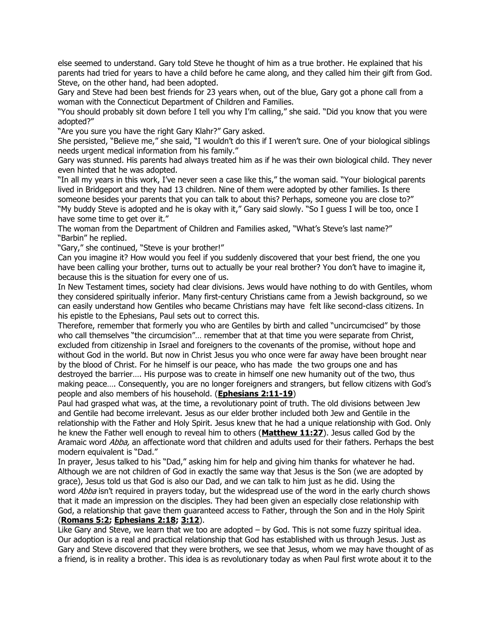else seemed to understand. Gary told Steve he thought of him as a true brother. He explained that his parents had tried for years to have a child before he came along, and they called him their gift from God. Steve, on the other hand, had been adopted.

Gary and Steve had been best friends for 23 years when, out of the blue, Gary got a phone call from a woman with the Connecticut Department of Children and Families.

"You should probably sit down before I tell you why I'm calling," she said. "Did you know that you were adopted?"

"Are you sure you have the right Gary Klahr?" Gary asked.

She persisted, "Believe me," she said, "I wouldn't do this if I weren't sure. One of your biological siblings needs urgent medical information from his family."

Gary was stunned. His parents had always treated him as if he was their own biological child. They never even hinted that he was adopted.

"In all my years in this work, I've never seen a case like this," the woman said. "Your biological parents lived in Bridgeport and they had 13 children. Nine of them were adopted by other families. Is there someone besides your parents that you can talk to about this? Perhaps, someone you are close to?" "My buddy Steve is adopted and he is okay with it," Gary said slowly. "So I guess I will be too, once I have some time to get over it."

The woman from the Department of Children and Families asked, "What's Steve's last name?" "Barbin" he replied.

"Gary," she continued, "Steve is your brother!"

Can you imagine it? How would you feel if you suddenly discovered that your best friend, the one you have been calling your brother, turns out to actually be your real brother? You don't have to imagine it, because this is the situation for every one of us.

In New Testament times, society had clear divisions. Jews would have nothing to do with Gentiles, whom they considered spiritually inferior. Many first-century Christians came from a Jewish background, so we can easily understand how Gentiles who became Christians may have felt like second-class citizens. In his epistle to the Ephesians, Paul sets out to correct this.

Therefore, remember that formerly you who are Gentiles by birth and called "uncircumcised" by those who call themselves "the circumcision"… remember that at that time you were separate from Christ, excluded from citizenship in Israel and foreigners to the covenants of the promise, without hope and without God in the world. But now in Christ Jesus you who once were far away have been brought near by the blood of Christ. For he himself is our peace, who has made the two groups one and has destroyed the barrier…. His purpose was to create in himself one new humanity out of the two, thus making peace…. Consequently, you are no longer foreigners and strangers, but fellow citizens with God's people and also members of his household. (**[Ephesians 2:11-19](https://biblia.com/bible/niv/Eph%202.11-19)**)

Paul had grasped what was, at the time, a revolutionary point of truth. The old divisions between Jew and Gentile had become irrelevant. Jesus as our elder brother included both Jew and Gentile in the relationship with the Father and Holy Spirit. Jesus knew that he had a unique relationship with God. Only he knew the Father well enough to reveal him to others (**[Matthew 11:27](https://biblia.com/bible/niv/Matt%2011.27)**). Jesus called God by the Aramaic word Abba, an affectionate word that children and adults used for their fathers. Perhaps the best modern equivalent is "Dad."

In prayer, Jesus talked to his "Dad," asking him for help and giving him thanks for whatever he had. Although we are not children of God in exactly the same way that Jesus is the Son (we are adopted by grace), Jesus told us that God is also our Dad, and we can talk to him just as he did. Using the word Abba isn't required in prayers today, but the widespread use of the word in the early church shows that it made an impression on the disciples. They had been given an especially close relationship with God, a relationship that gave them guaranteed access to Father, through the Son and in the Holy Spirit (**[Romans 5:2;](https://biblia.com/bible/niv/Rom%205.2) [Ephesians 2:18;](https://biblia.com/bible/niv/Eph%202.18) [3:12](https://biblia.com/bible/niv/Ephesians%203.12)**).

Like Gary and Steve, we learn that we too are adopted – by God. This is not some fuzzy spiritual idea. Our adoption is a real and practical relationship that God has established with us through Jesus. Just as Gary and Steve discovered that they were brothers, we see that Jesus, whom we may have thought of as a friend, is in reality a brother. This idea is as revolutionary today as when Paul first wrote about it to the